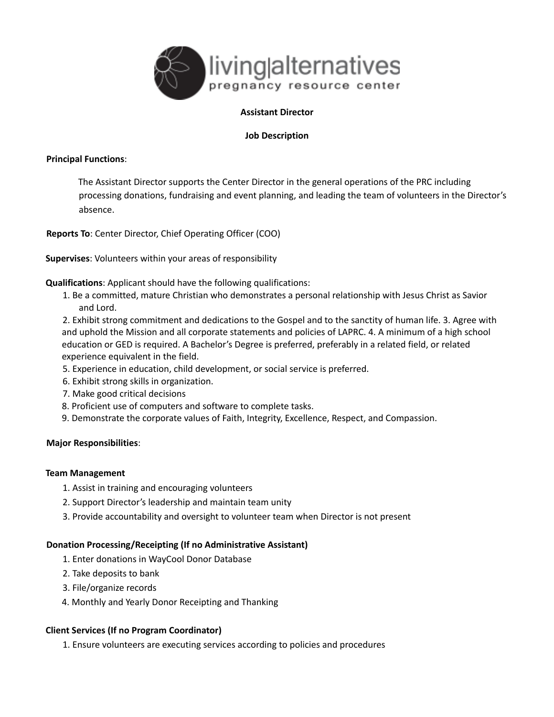

# **Assistant Director**

## **Job Description**

### **Principal Functions**:

The Assistant Director supports the Center Director in the general operations of the PRC including processing donations, fundraising and event planning, and leading the team of volunteers in the Director's absence.

**Reports To**: Center Director, Chief Operating Officer (COO)

**Supervises**: Volunteers within your areas of responsibility

**Qualifications**: Applicant should have the following qualifications:

1. Be a committed, mature Christian who demonstrates a personal relationship with Jesus Christ as Savior and Lord.

2. Exhibit strong commitment and dedications to the Gospel and to the sanctity of human life. 3. Agree with and uphold the Mission and all corporate statements and policies of LAPRC. 4. A minimum of a high school education or GED is required. A Bachelor's Degree is preferred, preferably in a related field, or related experience equivalent in the field.

- 5. Experience in education, child development, or social service is preferred.
- 6. Exhibit strong skills in organization.
- 7. Make good critical decisions
- 8. Proficient use of computers and software to complete tasks.
- 9. Demonstrate the corporate values of Faith, Integrity, Excellence, Respect, and Compassion.

### **Major Responsibilities**:

### **Team Management**

- 1. Assist in training and encouraging volunteers
- 2. Support Director's leadership and maintain team unity
- 3. Provide accountability and oversight to volunteer team when Director is not present

### **Donation Processing/Receipting (If no Administrative Assistant)**

- 1. Enter donations in WayCool Donor Database
- 2. Take deposits to bank
- 3. File/organize records
- 4. Monthly and Yearly Donor Receipting and Thanking

### **Client Services (If no Program Coordinator)**

1. Ensure volunteers are executing services according to policies and procedures